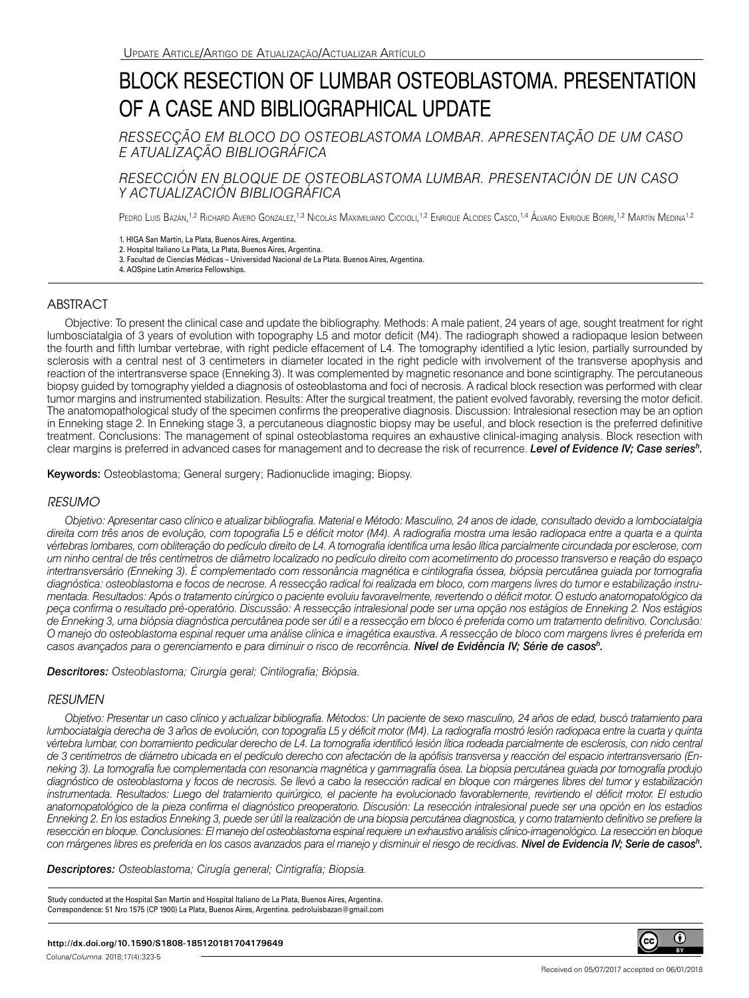# BLOCK RESECTION OF LUMBAR OSTEOBLASTOMA. PRESENTATION OF A CASE AND BIBLIOGRAPHICAL UPDATE

*RESSECÇÃO EM BLOCO DO OSTEOBLASTOMA LOMBAR. APRESENTAÇÃO DE UM CASO E ATUALIZAÇÃO BIBLIOGRÁFICA*

*RESECCIÓN EN BLOQUE DE OSTEOBLASTOMA LUMBAR. PRESENTACIÓN DE UN CASO Y ACTUALIZACIÓN BIBLIOGRÁFICA*

Pedro Luis Bazán,<sup>1,2</sup> Richard Avero Gonzalez,<sup>1,3</sup> Nicolás Maximiliano Ciccioli,<sup>1,2</sup> Enrique Alcides Casco,<sup>1,4</sup> Alvaro Enrique Borri,<sup>1,2</sup> Martín Medina<sup>1,2</sup>

1. HIGA San Martín, La Plata, Buenos Aires, Argentina.

2. Hospital Italiano La Plata, La Plata, Buenos Aires, Argentina.

3. Facultad de Ciencias Médicas – Universidad Nacional de La Plata. Buenos Aires, Argentina.

4. AOSpine Latin America Fellowships.

# ABSTRACT

Objective: To present the clinical case and update the bibliography. Methods: A male patient, 24 years of age, sought treatment for right lumbosciatalgia of 3 years of evolution with topography L5 and motor deficit (M4). The radiograph showed a radiopaque lesion between the fourth and fifth lumbar vertebrae, with right pedicle effacement of L4. The tomography identified a lytic lesion, partially surrounded by sclerosis with a central nest of 3 centimeters in diameter located in the right pedicle with involvement of the transverse apophysis and reaction of the intertransverse space (Enneking 3). It was complemented by magnetic resonance and bone scintigraphy. The percutaneous biopsy guided by tomography yielded a diagnosis of osteoblastoma and foci of necrosis. A radical block resection was performed with clear tumor margins and instrumented stabilization. Results: After the surgical treatment, the patient evolved favorably, reversing the motor deficit. The anatomopathological study of the specimen confirms the preoperative diagnosis. Discussion: Intralesional resection may be an option in Enneking stage 2. In Enneking stage 3, a percutaneous diagnostic biopsy may be useful, and block resection is the preferred definitive treatment. Conclusions: The management of spinal osteoblastoma requires an exhaustive clinical-imaging analysis. Block resection with clear margins is preferred in advanced cases for management and to decrease the risk of recurrence. *Level of Evidence IV; Case seriesh.*

Keywords: Osteoblastoma; General surgery; Radionuclide imaging; Biopsy.

### *RESUMO*

*Objetivo: Apresentar caso clínico e atualizar bibliografia. Material e Método: Masculino, 24 anos de idade, consultado devido a lombociatalgia direita com três anos de evolução, com topografia L5 e déficit motor (M4). A radiografia mostra uma lesão radiopaca entre a quarta e a quinta vértebras lombares, com obliteração do pedículo direito de L4. A tomografia identifica uma lesão lítica parcialmente circundada por esclerose, com um ninho central de três centímetros de diâmetro localizado no pedículo direito com acometimento do processo transverso e reação do espaço intertransversário (Enneking 3). É complementado com ressonância magnética e cintilografia óssea, biópsia percutânea guiada por tomografia diagnóstica: osteoblastoma e focos de necrose. A ressecção radical foi realizada em bloco, com margens livres do tumor e estabilização instrumentada. Resultados: Após o tratamento cirúrgico o paciente evoluiu favoravelmente, revertendo o déficit motor. O estudo anatomopatológico da peça confirma o resultado pré-operatório. Discussão: A ressecção intralesional pode ser uma opção nos estágios de Enneking 2. Nos estágios de Enneking 3, uma biópsia diagnóstica percutânea pode ser útil e a ressecção em bloco é preferida como um tratamento definitivo. Conclusão: O manejo do osteoblastoma espinal requer uma análise clínica e imagética exaustiva. A ressecção de bloco com margens livres é preferida em casos avançados para o gerenciamento e para diminuir o risco de recorrência. Nível de Evidência IV; Série de casosh.*

*Descritores: Osteoblastoma; Cirurgia geral; Cintilografia; Biópsia.*

## *RESUMEN*

*Objetivo: Presentar un caso clínico y actualizar bibliografía. Métodos: Un paciente de sexo masculino, 24 años de edad, buscó tratamiento para lumbociatalgia derecha de 3 años de evolución, con topografía L5 y déficit motor (M4). La radiografía mostró lesión radiopaca entre la cuarta y quinta*  vértebra lumbar, con borramiento pedicular derecho de L4. La tomografía identificó lesión lítica rodeada parcialmente de esclerosis, con nido central *de 3 centímetros de diámetro ubicada en el pedículo derecho con afectación de la apófisis transversa y reacción del espacio intertransversario (Enneking 3). La tomografía fue complementada con resonancia magnética y gammagrafía ósea. La biopsia percutánea guiada por tomografía produjo diagnóstico de osteoblastoma y focos de necrosis. Se llevó a cabo la resección radical en bloque con márgenes libres del tumor y estabilización instrumentada. Resultados: Luego del tratamiento quirúrgico, el paciente ha evolucionado favorablemente, revirtiendo el déficit motor. El estudio anatomopatológico de la pieza confirma el diagnóstico preoperatorio. Discusión: La resección intralesional puede ser una opción en los estadios Enneking 2. En los estadios Enneking 3, puede ser útil la realización de una biopsia percutánea diagnostica, y como tratamiento definitivo se prefiere la resección en bloque. Conclusiones: El manejo del osteoblastoma espinal requiere un exhaustivo análisis clínico-imagenológico. La resección en bloque con márgenes libres es preferida en los casos avanzados para el manejo y disminuir el riesgo de recidivas. Nivel de Evidencia IV; Serie de casosh .*

*Descriptores: Osteoblastoma; Cirugía general; Cintigrafía; Biopsia.*

Study conducted at the Hospital San Martín and Hospital Italiano de La Plata, Buenos Aires, Argentina. Correspondence: 51 Nro 1575 (CP 1900) La Plata, Buenos Aires, Argentina. pedroluisbazan@gmail.com

#### **http://dx.doi.org/10.1590/S1808-185120181704179649**

Coluna/*Columna*. 2018;17(4):323-5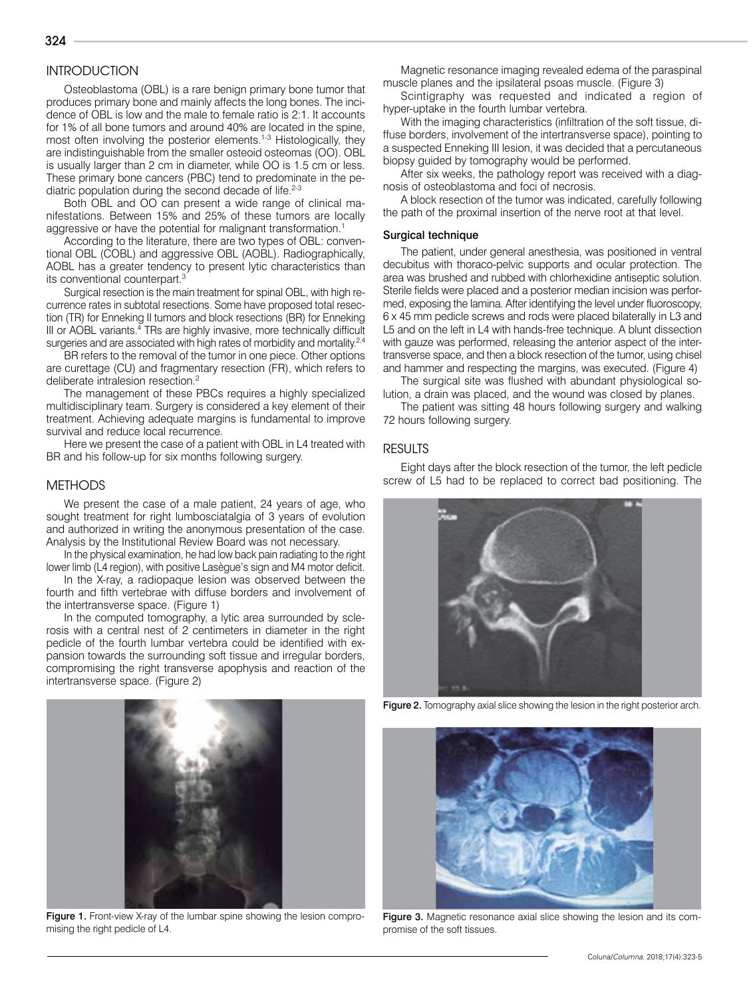# **INTRODUCTION**

Osteoblastoma (OBL) is a rare benign primary bone tumor that produces primary bone and mainly affects the long bones. The incidence of OBL is low and the male to female ratio is 2:1. It accounts for 1% of all bone tumors and around 40% are located in the spine, most often involving the posterior elements.<sup>1-3</sup> Histologically, they are indistinguishable from the smaller osteoid osteomas (OO). OBL is usually larger than 2 cm in diameter, while OO is 1.5 cm or less. These primary bone cancers (PBC) tend to predominate in the pediatric population during the second decade of life.<sup>2-3</sup>

Both OBL and OO can present a wide range of clinical manifestations. Between 15% and 25% of these tumors are locally aggressive or have the potential for malignant transformation.<sup>1</sup>

According to the literature, there are two types of OBL: conventional OBL (COBL) and aggressive OBL (AOBL). Radiographically, AOBL has a greater tendency to present lytic characteristics than its conventional counterpart.<sup>3</sup>

Surgical resection is the main treatment for spinal OBL, with high recurrence rates in subtotal resections. Some have proposed total resection (TR) for Enneking II tumors and block resections (BR) for Enneking III or AOBL variants.<sup>4</sup> TRs are highly invasive, more technically difficult surgeries and are associated with high rates of morbidity and mortality.<sup>2,4</sup>

BR refers to the removal of the tumor in one piece. Other options are curettage (CU) and fragmentary resection (FR), which refers to deliberate intralesion resection.<sup>2</sup>

The management of these PBCs requires a highly specialized multidisciplinary team. Surgery is considered a key element of their treatment. Achieving adequate margins is fundamental to improve survival and reduce local recurrence.

Here we present the case of a patient with OBL in L4 treated with BR and his follow-up for six months following surgery.

#### METHODS

We present the case of a male patient, 24 years of age, who sought treatment for right lumbosciatalgia of 3 years of evolution and authorized in writing the anonymous presentation of the case. Analysis by the Institutional Review Board was not necessary.

In the physical examination, he had low back pain radiating to the right lower limb (L4 region), with positive Lasègue's sign and M4 motor deficit.

In the X-ray, a radiopaque lesion was observed between the fourth and fifth vertebrae with diffuse borders and involvement of the intertransverse space. (Figure 1)

In the computed tomography, a lytic area surrounded by sclerosis with a central nest of 2 centimeters in diameter in the right pedicle of the fourth lumbar vertebra could be identified with expansion towards the surrounding soft tissue and irregular borders, compromising the right transverse apophysis and reaction of the intertransverse space. (Figure 2)

Figure 1. Front-view X-ray of the lumbar spine showing the lesion compromising the right pedicle of L4.

Magnetic resonance imaging revealed edema of the paraspinal muscle planes and the ipsilateral psoas muscle. (Figure 3)

Scintigraphy was requested and indicated a region of hyper-uptake in the fourth lumbar vertebra.

With the imaging characteristics (infiltration of the soft tissue, diffuse borders, involvement of the intertransverse space), pointing to a suspected Enneking III lesion, it was decided that a percutaneous biopsy guided by tomography would be performed.

After six weeks, the pathology report was received with a diagnosis of osteoblastoma and foci of necrosis.

A block resection of the tumor was indicated, carefully following the path of the proximal insertion of the nerve root at that level.

#### Surgical technique

The patient, under general anesthesia, was positioned in ventral decubitus with thoraco-pelvic supports and ocular protection. The area was brushed and rubbed with chlorhexidine antiseptic solution. Sterile fields were placed and a posterior median incision was performed, exposing the lamina. After identifying the level under fluoroscopy, 6 x 45 mm pedicle screws and rods were placed bilaterally in L3 and L5 and on the left in L4 with hands-free technique. A blunt dissection with gauze was performed, releasing the anterior aspect of the intertransverse space, and then a block resection of the tumor, using chisel and hammer and respecting the margins, was executed. (Figure 4)

The surgical site was flushed with abundant physiological solution, a drain was placed, and the wound was closed by planes.

The patient was sitting 48 hours following surgery and walking 72 hours following surgery.

#### **RESULTS**

Eight days after the block resection of the tumor, the left pedicle screw of L5 had to be replaced to correct bad positioning. The



Figure 2. Tomography axial slice showing the lesion in the right posterior arch.



Figure 3. Magnetic resonance axial slice showing the lesion and its compromise of the soft tissues.